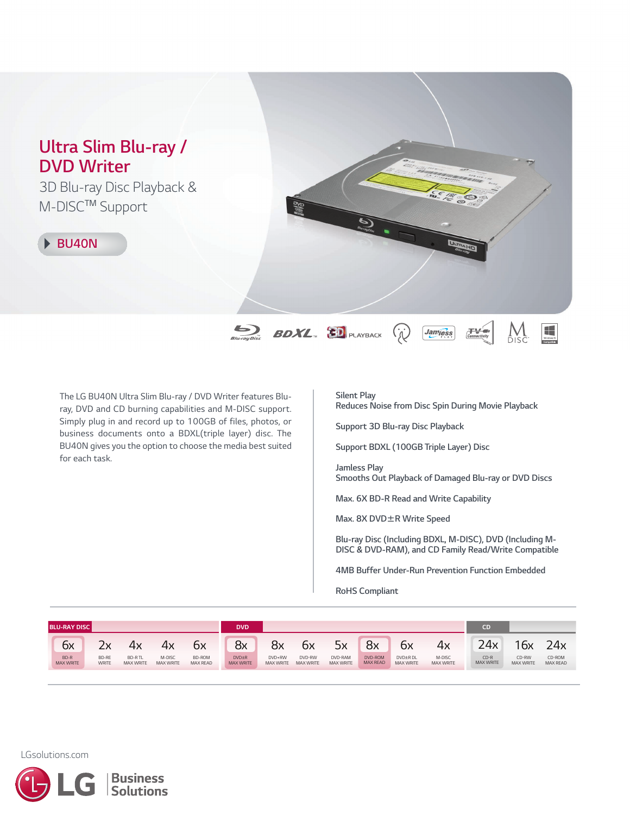# *Ultra Slim Blu-ray / DVD Writer 3D Blu-ray Disc Playback & M-DISCTM Support BU40N*  $\sum_{\text{Bluvaryolic}}$  **BDXL BD** PLAYBACK  $\begin{array}{c}\n\hline\n\text{Hence} \\
\text{Wickence}\n\end{array}$ **Jamess** (ji

*The LG BU40N Ultra Slim Blu-ray / DVD Writer features Bluray, DVD and CD burning capabilities and M-DISC support. Simply plug in and record up to 100GB of files, photos, or business documents onto a BDXL(triple layer) disc. The BU40N gives you the option to choose the media bestsuited for each task.*

### *Silent Play*

*Reduces Noise from Disc Spin During Movie Playback*

*Support 3D Blu-ray Disc Playback*

*Support BDXL (100GB Triple Layer) Disc*

*Jamless Play Smooths Out Playback of Damaged Blu-ray or DVD Discs*

*Max. 6X BD-R Read and Write Capability*

*Max. 8X DVD*±*R Write Speed*

*Blu-ray Disc (Including BDXL, M-DISC), DVD (Including M- DISC & DVD-RAM), and CD Family Read/Write Compatible*

*4MB Buffer Under-Run Prevention Function Embedded*

*RoHS Compliant*

| <b>BLU-RAY DISC I</b> |                          |                       |                                   |                            | <b>DVD</b>                |                                  |                     |                            |                             |                            |                              |                            |                            |                           |                           |
|-----------------------|--------------------------|-----------------------|-----------------------------------|----------------------------|---------------------------|----------------------------------|---------------------|----------------------------|-----------------------------|----------------------------|------------------------------|----------------------------|----------------------------|---------------------------|---------------------------|
|                       | ∼<br>ιх                  | $\sim$                | 4х                                |                            | σх                        | 8x                               | 8x                  | ьχ                         | 5x                          | 8x                         | ьχ                           | 4х                         | 24x                        | 16x                       | 24x                       |
|                       | BD-R<br><b>MAX WRITE</b> | BD-RE<br><b>WRITE</b> | <b>BD-RTL</b><br><b>MAX WRITE</b> | M-DISC<br><b>MAX WRITE</b> | BD-ROM<br><b>MAX READ</b> | <b>DVD±R</b><br><b>MAX WRITE</b> | DVD+RW<br>MAX WRITE | DVD-RW<br><b>MAX WRITE</b> | DVD-RAM<br><b>MAX WRITE</b> | DVD-ROM<br><b>MAX READ</b> | DVD±R DL<br><b>MAX WRITE</b> | M-DISC<br><b>MAX WRITE</b> | $CD-R$<br><b>MAX WRITE</b> | CD-RW<br><b>MAX WRITE</b> | CD-ROM<br><b>MAX READ</b> |

*LGsolutions.com*